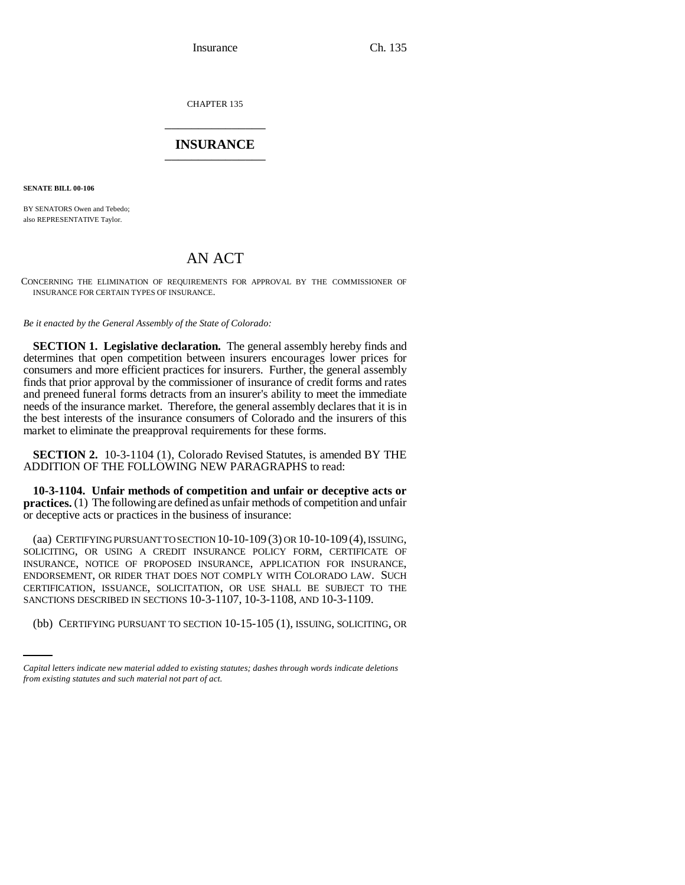Insurance Ch. 135

CHAPTER 135 \_\_\_\_\_\_\_\_\_\_\_\_\_\_\_

## **INSURANCE** \_\_\_\_\_\_\_\_\_\_\_\_\_\_\_

**SENATE BILL 00-106** 

BY SENATORS Owen and Tebedo; also REPRESENTATIVE Taylor.

# AN ACT

CONCERNING THE ELIMINATION OF REQUIREMENTS FOR APPROVAL BY THE COMMISSIONER OF INSURANCE FOR CERTAIN TYPES OF INSURANCE.

*Be it enacted by the General Assembly of the State of Colorado:*

**SECTION 1. Legislative declaration.** The general assembly hereby finds and determines that open competition between insurers encourages lower prices for consumers and more efficient practices for insurers. Further, the general assembly finds that prior approval by the commissioner of insurance of credit forms and rates and preneed funeral forms detracts from an insurer's ability to meet the immediate needs of the insurance market. Therefore, the general assembly declares that it is in the best interests of the insurance consumers of Colorado and the insurers of this market to eliminate the preapproval requirements for these forms.

**SECTION 2.** 10-3-1104 (1), Colorado Revised Statutes, is amended BY THE ADDITION OF THE FOLLOWING NEW PARAGRAPHS to read:

**10-3-1104. Unfair methods of competition and unfair or deceptive acts or practices.** (1) The following are defined as unfair methods of competition and unfair or deceptive acts or practices in the business of insurance:

SANCTIONS DESCRIBED IN SECTIONS 10-3-1107, 10-3-1108, AND 10-3-1109. (aa) CERTIFYING PURSUANT TO SECTION 10-10-109 (3) OR 10-10-109 (4), ISSUING, SOLICITING, OR USING A CREDIT INSURANCE POLICY FORM, CERTIFICATE OF INSURANCE, NOTICE OF PROPOSED INSURANCE, APPLICATION FOR INSURANCE, ENDORSEMENT, OR RIDER THAT DOES NOT COMPLY WITH COLORADO LAW. SUCH CERTIFICATION, ISSUANCE, SOLICITATION, OR USE SHALL BE SUBJECT TO THE

(bb) CERTIFYING PURSUANT TO SECTION 10-15-105 (1), ISSUING, SOLICITING, OR

*Capital letters indicate new material added to existing statutes; dashes through words indicate deletions from existing statutes and such material not part of act.*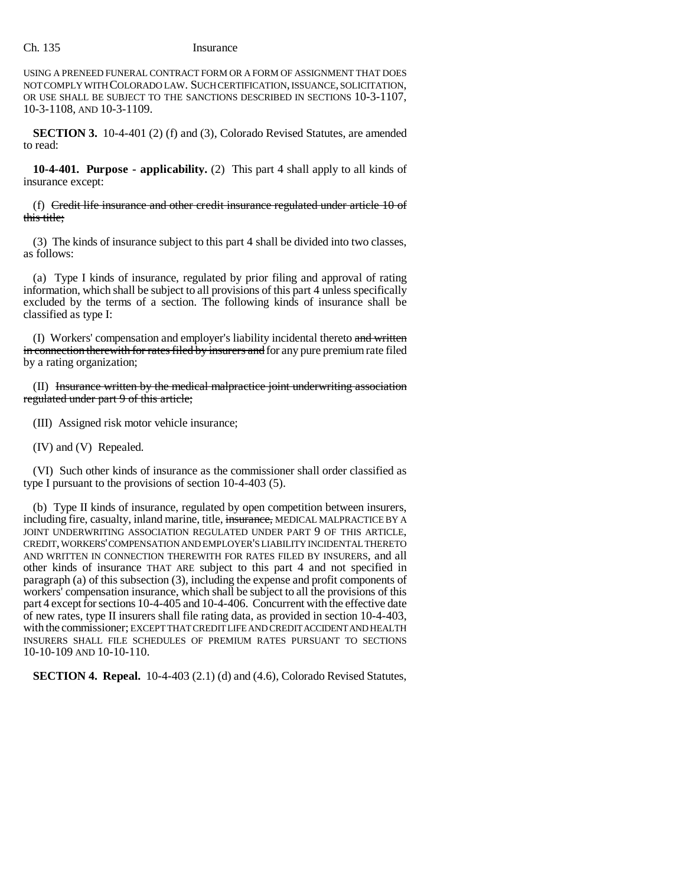USING A PRENEED FUNERAL CONTRACT FORM OR A FORM OF ASSIGNMENT THAT DOES NOT COMPLY WITH COLORADO LAW. SUCH CERTIFICATION, ISSUANCE, SOLICITATION, OR USE SHALL BE SUBJECT TO THE SANCTIONS DESCRIBED IN SECTIONS 10-3-1107, 10-3-1108, AND 10-3-1109.

**SECTION 3.** 10-4-401 (2) (f) and (3), Colorado Revised Statutes, are amended to read:

**10-4-401. Purpose - applicability.** (2) This part 4 shall apply to all kinds of insurance except:

(f) Credit life insurance and other credit insurance regulated under article 10 of this title;

(3) The kinds of insurance subject to this part 4 shall be divided into two classes, as follows:

(a) Type I kinds of insurance, regulated by prior filing and approval of rating information, which shall be subject to all provisions of this part 4 unless specifically excluded by the terms of a section. The following kinds of insurance shall be classified as type I:

(I) Workers' compensation and employer's liability incidental thereto and written in connection therewith for rates filed by insurers and for any pure premium rate filed by a rating organization;

(II) Insurance written by the medical malpractice joint underwriting association regulated under part 9 of this article;

(III) Assigned risk motor vehicle insurance;

(IV) and (V) Repealed.

(VI) Such other kinds of insurance as the commissioner shall order classified as type I pursuant to the provisions of section 10-4-403 (5).

(b) Type II kinds of insurance, regulated by open competition between insurers, including fire, casualty, inland marine, title, insurance, MEDICAL MALPRACTICE BY A JOINT UNDERWRITING ASSOCIATION REGULATED UNDER PART 9 OF THIS ARTICLE, CREDIT, WORKERS' COMPENSATION AND EMPLOYER'S LIABILITY INCIDENTAL THERETO AND WRITTEN IN CONNECTION THEREWITH FOR RATES FILED BY INSURERS, and all other kinds of insurance THAT ARE subject to this part 4 and not specified in paragraph (a) of this subsection (3), including the expense and profit components of workers' compensation insurance, which shall be subject to all the provisions of this part 4 except for sections 10-4-405 and 10-4-406. Concurrent with the effective date of new rates, type II insurers shall file rating data, as provided in section 10-4-403, with the commissioner; EXCEPT THAT CREDIT LIFE AND CREDIT ACCIDENT AND HEALTH INSURERS SHALL FILE SCHEDULES OF PREMIUM RATES PURSUANT TO SECTIONS 10-10-109 AND 10-10-110.

**SECTION 4. Repeal.** 10-4-403 (2.1) (d) and (4.6), Colorado Revised Statutes,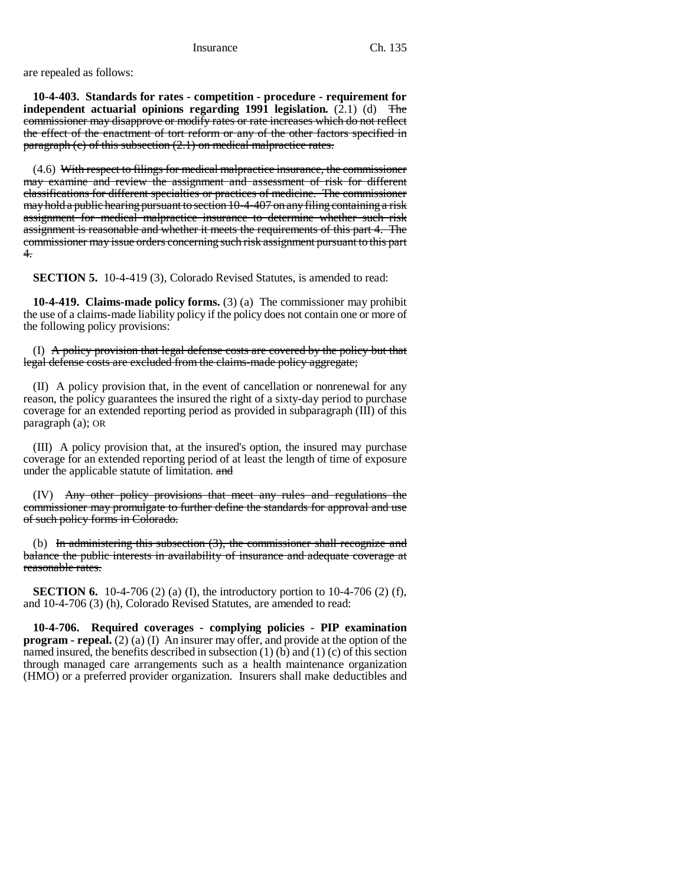are repealed as follows:

**10-4-403. Standards for rates - competition - procedure - requirement for independent actuarial opinions regarding 1991 legislation.**  $(2.1)$  (d) The commissioner may disapprove or modify rates or rate increases which do not reflect the effect of the enactment of tort reform or any of the other factors specified in paragraph (c) of this subsection (2.1) on medical malpractice rates.

(4.6) With respect to filings for medical malpractice insurance, the commissioner may examine and review the assignment and assessment of risk for different classifications for different specialties or practices of medicine. The commissioner may hold a public hearing pursuant to section 10-4-407 on any filing containing a risk assignment for medical malpractice insurance to determine whether such risk assignment is reasonable and whether it meets the requirements of this part 4. The commissioner may issue orders concerning such risk assignment pursuant to this part 4.

**SECTION 5.** 10-4-419 (3), Colorado Revised Statutes, is amended to read:

**10-4-419. Claims-made policy forms.** (3) (a) The commissioner may prohibit the use of a claims-made liability policy if the policy does not contain one or more of the following policy provisions:

(I) A policy provision that legal defense costs are covered by the policy but that legal defense costs are excluded from the claims-made policy aggregate;

(II) A policy provision that, in the event of cancellation or nonrenewal for any reason, the policy guarantees the insured the right of a sixty-day period to purchase coverage for an extended reporting period as provided in subparagraph (III) of this paragraph (a); OR

(III) A policy provision that, at the insured's option, the insured may purchase coverage for an extended reporting period of at least the length of time of exposure under the applicable statute of limitation. and

(IV) Any other policy provisions that meet any rules and regulations the commissioner may promulgate to further define the standards for approval and use of such policy forms in Colorado.

(b) In administering this subsection  $(3)$ , the commissioner shall recognize and balance the public interests in availability of insurance and adequate coverage at reasonable rates.

**SECTION 6.** 10-4-706 (2) (a) (I), the introductory portion to 10-4-706 (2) (f), and 10-4-706 (3) (h), Colorado Revised Statutes, are amended to read:

**10-4-706. Required coverages - complying policies - PIP examination program - repeal.** (2) (a) (I) An insurer may offer, and provide at the option of the named insured, the benefits described in subsection  $(1)$  (b) and  $(1)$  (c) of this section through managed care arrangements such as a health maintenance organization (HMO) or a preferred provider organization. Insurers shall make deductibles and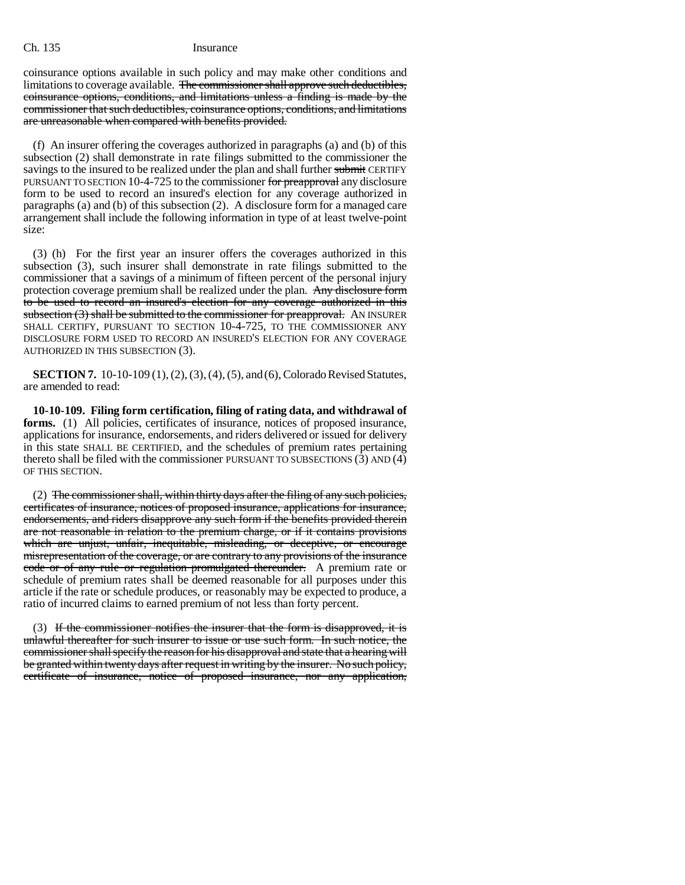coinsurance options available in such policy and may make other conditions and limitations to coverage available. The commissioner shall approve such deductibles, coinsurance options, conditions, and limitations unless a finding is made by the commissioner that such deductibles, coinsurance options, conditions, and limitations are unreasonable when compared with benefits provided.

(f) An insurer offering the coverages authorized in paragraphs (a) and (b) of this subsection (2) shall demonstrate in rate filings submitted to the commissioner the savings to the insured to be realized under the plan and shall further submit CERTIFY PURSUANT TO SECTION 10-4-725 to the commissioner for preapproval any disclosure form to be used to record an insured's election for any coverage authorized in paragraphs (a) and (b) of this subsection (2). A disclosure form for a managed care arrangement shall include the following information in type of at least twelve-point size:

(3) (h) For the first year an insurer offers the coverages authorized in this subsection (3), such insurer shall demonstrate in rate filings submitted to the commissioner that a savings of a minimum of fifteen percent of the personal injury protection coverage premium shall be realized under the plan. Any disclosure form to be used to record an insured's election for any coverage authorized in this subsection (3) shall be submitted to the commissioner for preapproval. AN INSURER SHALL CERTIFY, PURSUANT TO SECTION 10-4-725, TO THE COMMISSIONER ANY DISCLOSURE FORM USED TO RECORD AN INSURED'S ELECTION FOR ANY COVERAGE AUTHORIZED IN THIS SUBSECTION (3).

**SECTION 7.** 10-10-109 (1), (2), (3), (4), (5), and (6), Colorado Revised Statutes, are amended to read:

**10-10-109. Filing form certification, filing of rating data, and withdrawal of forms.** (1) All policies, certificates of insurance, notices of proposed insurance, applications for insurance, endorsements, and riders delivered or issued for delivery in this state SHALL BE CERTIFIED, and the schedules of premium rates pertaining thereto shall be filed with the commissioner PURSUANT TO SUBSECTIONS  $(3)$  AND  $(4)$ OF THIS SECTION.

(2) The commissioner shall, within thirty days after the filing of any such policies, certificates of insurance, notices of proposed insurance, applications for insurance, endorsements, and riders disapprove any such form if the benefits provided therein are not reasonable in relation to the premium charge, or if it contains provisions which are unjust, unfair, inequitable, misleading, or deceptive, or encourage misrepresentation of the coverage, or are contrary to any provisions of the insurance code or of any rule or regulation promulgated thereunder. A premium rate or schedule of premium rates shall be deemed reasonable for all purposes under this article if the rate or schedule produces, or reasonably may be expected to produce, a ratio of incurred claims to earned premium of not less than forty percent.

(3) If the commissioner notifies the insurer that the form is disapproved, it is unlawful thereafter for such insurer to issue or use such form. In such notice, the commissioner shall specify the reason for his disapproval and state that a hearing will be granted within twenty days after request in writing by the insurer. No such policy, certificate of insurance, notice of proposed insurance, nor any application,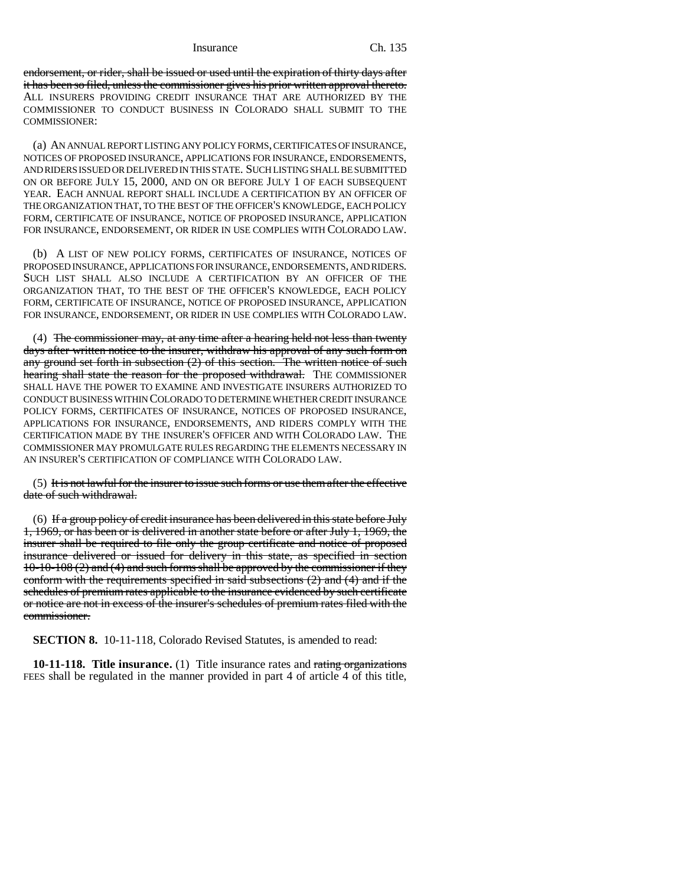Insurance Ch. 135

endorsement, or rider, shall be issued or used until the expiration of thirty days after it has been so filed, unless the commissioner gives his prior written approval thereto. ALL INSURERS PROVIDING CREDIT INSURANCE THAT ARE AUTHORIZED BY THE COMMISSIONER TO CONDUCT BUSINESS IN COLORADO SHALL SUBMIT TO THE COMMISSIONER:

(a) AN ANNUAL REPORT LISTING ANY POLICY FORMS, CERTIFICATES OF INSURANCE, NOTICES OF PROPOSED INSURANCE, APPLICATIONS FOR INSURANCE, ENDORSEMENTS, AND RIDERS ISSUED OR DELIVERED IN THIS STATE. SUCH LISTING SHALL BE SUBMITTED ON OR BEFORE JULY 15, 2000, AND ON OR BEFORE JULY 1 OF EACH SUBSEQUENT YEAR. EACH ANNUAL REPORT SHALL INCLUDE A CERTIFICATION BY AN OFFICER OF THE ORGANIZATION THAT, TO THE BEST OF THE OFFICER'S KNOWLEDGE, EACH POLICY FORM, CERTIFICATE OF INSURANCE, NOTICE OF PROPOSED INSURANCE, APPLICATION FOR INSURANCE, ENDORSEMENT, OR RIDER IN USE COMPLIES WITH COLORADO LAW.

(b) A LIST OF NEW POLICY FORMS, CERTIFICATES OF INSURANCE, NOTICES OF PROPOSED INSURANCE, APPLICATIONS FOR INSURANCE, ENDORSEMENTS, AND RIDERS. SUCH LIST SHALL ALSO INCLUDE A CERTIFICATION BY AN OFFICER OF THE ORGANIZATION THAT, TO THE BEST OF THE OFFICER'S KNOWLEDGE, EACH POLICY FORM, CERTIFICATE OF INSURANCE, NOTICE OF PROPOSED INSURANCE, APPLICATION FOR INSURANCE, ENDORSEMENT, OR RIDER IN USE COMPLIES WITH COLORADO LAW.

(4) The commissioner may, at any time after a hearing held not less than twenty days after written notice to the insurer, withdraw his approval of any such form on any ground set forth in subsection  $(2)$  of this section. The written notice of such hearing shall state the reason for the proposed withdrawal. THE COMMISSIONER SHALL HAVE THE POWER TO EXAMINE AND INVESTIGATE INSURERS AUTHORIZED TO CONDUCT BUSINESS WITHIN COLORADO TO DETERMINE WHETHER CREDIT INSURANCE POLICY FORMS, CERTIFICATES OF INSURANCE, NOTICES OF PROPOSED INSURANCE, APPLICATIONS FOR INSURANCE, ENDORSEMENTS, AND RIDERS COMPLY WITH THE CERTIFICATION MADE BY THE INSURER'S OFFICER AND WITH COLORADO LAW. THE COMMISSIONER MAY PROMULGATE RULES REGARDING THE ELEMENTS NECESSARY IN AN INSURER'S CERTIFICATION OF COMPLIANCE WITH COLORADO LAW.

 $(5)$  It is not lawful for the insurer to issue such forms or use them after the effective date of such withdrawal.

(6) If a group policy of credit insurance has been delivered in this state before July 1, 1969, or has been or is delivered in another state before or after July 1, 1969, the insurer shall be required to file only the group certificate and notice of proposed insurance delivered or issued for delivery in this state, as specified in section 10-10-108 (2) and (4) and such forms shall be approved by the commissioner if they conform with the requirements specified in said subsections (2) and (4) and if the schedules of premium rates applicable to the insurance evidenced by such certificate or notice are not in excess of the insurer's schedules of premium rates filed with the commissioner.

**SECTION 8.** 10-11-118, Colorado Revised Statutes, is amended to read:

**10-11-118. Title insurance.** (1) Title insurance rates and rating organizations FEES shall be regulated in the manner provided in part 4 of article 4 of this title,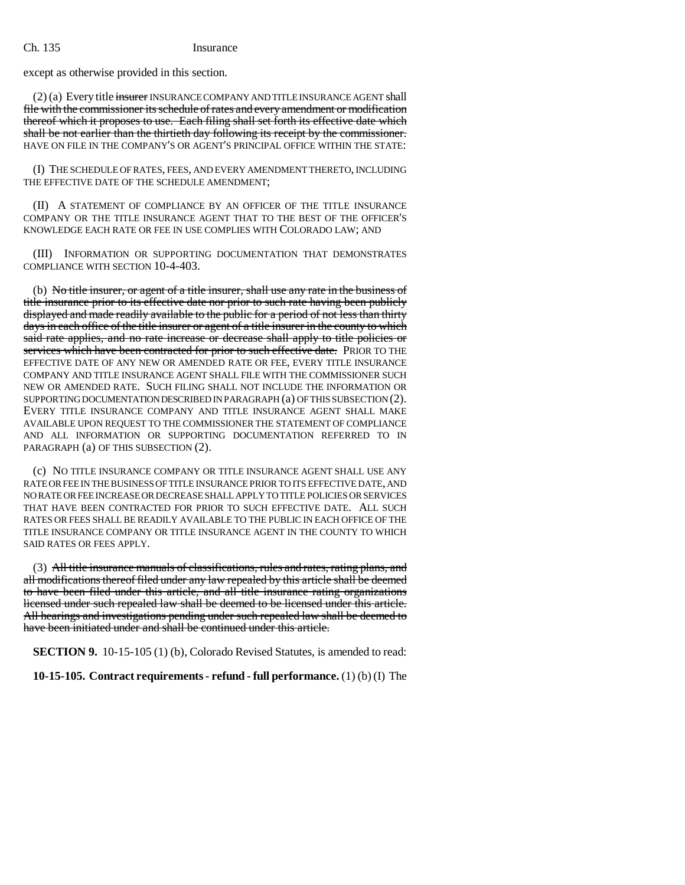except as otherwise provided in this section.

(2) (a) Every title insurer INSURANCE COMPANY AND TITLE INSURANCE AGENT shall file with the commissioner its schedule of rates and every amendment or modification thereof which it proposes to use. Each filing shall set forth its effective date which shall be not earlier than the thirtieth day following its receipt by the commissioner. HAVE ON FILE IN THE COMPANY'S OR AGENT'S PRINCIPAL OFFICE WITHIN THE STATE:

(I) THE SCHEDULE OF RATES, FEES, AND EVERY AMENDMENT THERETO, INCLUDING THE EFFECTIVE DATE OF THE SCHEDULE AMENDMENT;

(II) A STATEMENT OF COMPLIANCE BY AN OFFICER OF THE TITLE INSURANCE COMPANY OR THE TITLE INSURANCE AGENT THAT TO THE BEST OF THE OFFICER'S KNOWLEDGE EACH RATE OR FEE IN USE COMPLIES WITH COLORADO LAW; AND

(III) INFORMATION OR SUPPORTING DOCUMENTATION THAT DEMONSTRATES COMPLIANCE WITH SECTION 10-4-403.

(b) No title insurer, or agent of a title insurer, shall use any rate in the business of title insurance prior to its effective date nor prior to such rate having been publicly displayed and made readily available to the public for a period of not less than thirty days in each office of the title insurer or agent of a title insurer in the county to which said rate applies, and no rate increase or decrease shall apply to title policies or services which have been contracted for prior to such effective date. PRIOR TO THE EFFECTIVE DATE OF ANY NEW OR AMENDED RATE OR FEE, EVERY TITLE INSURANCE COMPANY AND TITLE INSURANCE AGENT SHALL FILE WITH THE COMMISSIONER SUCH NEW OR AMENDED RATE. SUCH FILING SHALL NOT INCLUDE THE INFORMATION OR SUPPORTING DOCUMENTATION DESCRIBED IN PARAGRAPH (a) OF THIS SUBSECTION (2). EVERY TITLE INSURANCE COMPANY AND TITLE INSURANCE AGENT SHALL MAKE AVAILABLE UPON REQUEST TO THE COMMISSIONER THE STATEMENT OF COMPLIANCE AND ALL INFORMATION OR SUPPORTING DOCUMENTATION REFERRED TO IN PARAGRAPH (a) OF THIS SUBSECTION (2).

(c) NO TITLE INSURANCE COMPANY OR TITLE INSURANCE AGENT SHALL USE ANY RATE OR FEE IN THE BUSINESS OF TITLE INSURANCE PRIOR TO ITS EFFECTIVE DATE, AND NO RATE OR FEE INCREASE OR DECREASE SHALL APPLY TO TITLE POLICIES OR SERVICES THAT HAVE BEEN CONTRACTED FOR PRIOR TO SUCH EFFECTIVE DATE. ALL SUCH RATES OR FEES SHALL BE READILY AVAILABLE TO THE PUBLIC IN EACH OFFICE OF THE TITLE INSURANCE COMPANY OR TITLE INSURANCE AGENT IN THE COUNTY TO WHICH SAID RATES OR FEES APPLY.

(3) All title insurance manuals of classifications, rules and rates, rating plans, and all modifications thereof filed under any law repealed by this article shall be deemed to have been filed under this article, and all title insurance rating organizations licensed under such repealed law shall be deemed to be licensed under this article. All hearings and investigations pending under such repealed law shall be deemed to have been initiated under and shall be continued under this article.

**SECTION 9.** 10-15-105 (1) (b), Colorado Revised Statutes, is amended to read:

**10-15-105. Contract requirements - refund - full performance.** (1) (b) (I) The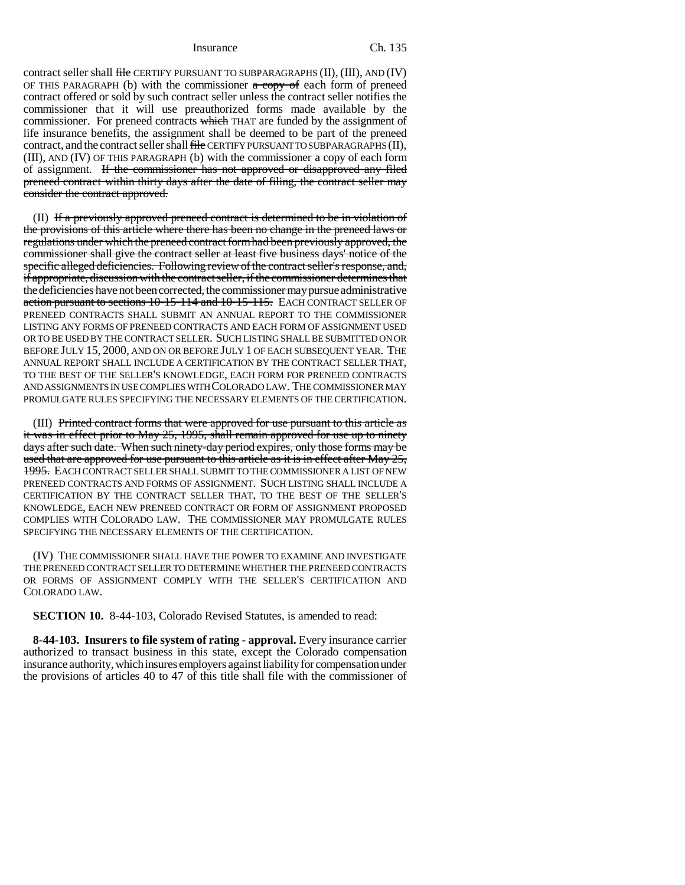Insurance Ch. 135

contract seller shall file CERTIFY PURSUANT TO SUBPARAGRAPHS (II), (III), AND (IV) OF THIS PARAGRAPH (b) with the commissioner  $\alpha$  copy of each form of preneed contract offered or sold by such contract seller unless the contract seller notifies the commissioner that it will use preauthorized forms made available by the commissioner. For preneed contracts which THAT are funded by the assignment of life insurance benefits, the assignment shall be deemed to be part of the preneed contract, and the contract seller shall file CERTIFY PURSUANT TO SUBPARAGRAPHS (II), (III), AND (IV) OF THIS PARAGRAPH (b) with the commissioner a copy of each form of assignment. If the commissioner has not approved or disapproved any filed preneed contract within thirty days after the date of filing, the contract seller may consider the contract approved.

(II) If a previously approved preneed contract is determined to be in violation of the provisions of this article where there has been no change in the preneed laws or regulations under which the preneed contract form had been previously approved, the commissioner shall give the contract seller at least five business days' notice of the specific alleged deficiencies. Following review of the contract seller's response, and, if appropriate, discussion with the contract seller, if the commissioner determines that the deficiencies have not been corrected, the commissioner may pursue administrative action pursuant to sections 10-15-114 and 10-15-115. EACH CONTRACT SELLER OF PRENEED CONTRACTS SHALL SUBMIT AN ANNUAL REPORT TO THE COMMISSIONER LISTING ANY FORMS OF PRENEED CONTRACTS AND EACH FORM OF ASSIGNMENT USED OR TO BE USED BY THE CONTRACT SELLER. SUCH LISTING SHALL BE SUBMITTED ON OR BEFORE JULY 15, 2000, AND ON OR BEFORE JULY 1 OF EACH SUBSEQUENT YEAR. THE ANNUAL REPORT SHALL INCLUDE A CERTIFICATION BY THE CONTRACT SELLER THAT, TO THE BEST OF THE SELLER'S KNOWLEDGE, EACH FORM FOR PRENEED CONTRACTS AND ASSIGNMENTS IN USE COMPLIES WITH COLORADO LAW. THE COMMISSIONER MAY PROMULGATE RULES SPECIFYING THE NECESSARY ELEMENTS OF THE CERTIFICATION.

(III) Printed contract forms that were approved for use pursuant to this article as it was in effect prior to May 25, 1995, shall remain approved for use up to ninety days after such date. When such ninety-day period expires, only those forms may be used that are approved for use pursuant to this article as it is in effect after May 25, 1995. EACH CONTRACT SELLER SHALL SUBMIT TO THE COMMISSIONER A LIST OF NEW PRENEED CONTRACTS AND FORMS OF ASSIGNMENT. SUCH LISTING SHALL INCLUDE A CERTIFICATION BY THE CONTRACT SELLER THAT, TO THE BEST OF THE SELLER'S KNOWLEDGE, EACH NEW PRENEED CONTRACT OR FORM OF ASSIGNMENT PROPOSED COMPLIES WITH COLORADO LAW. THE COMMISSIONER MAY PROMULGATE RULES SPECIFYING THE NECESSARY ELEMENTS OF THE CERTIFICATION.

(IV) THE COMMISSIONER SHALL HAVE THE POWER TO EXAMINE AND INVESTIGATE THE PRENEED CONTRACT SELLER TO DETERMINE WHETHER THE PRENEED CONTRACTS OR FORMS OF ASSIGNMENT COMPLY WITH THE SELLER'S CERTIFICATION AND COLORADO LAW.

**SECTION 10.** 8-44-103, Colorado Revised Statutes, is amended to read:

**8-44-103. Insurers to file system of rating - approval.** Every insurance carrier authorized to transact business in this state, except the Colorado compensation insurance authority, which insures employers against liability for compensation under the provisions of articles 40 to 47 of this title shall file with the commissioner of